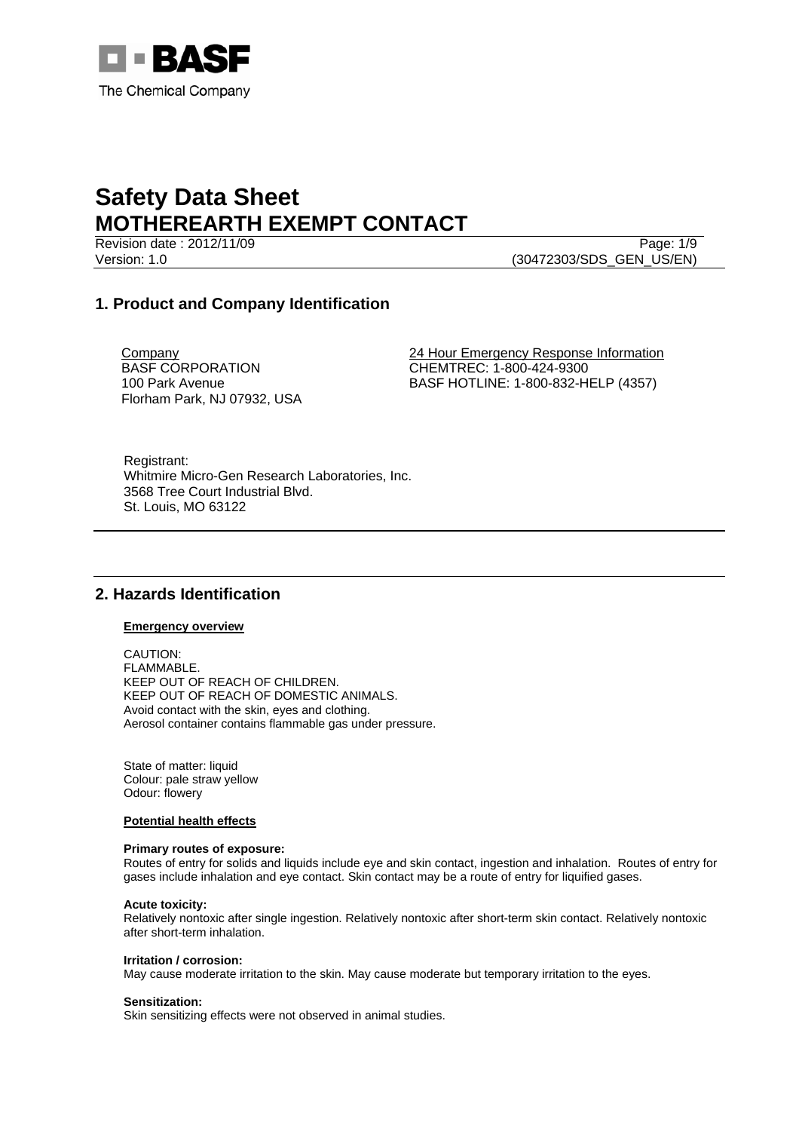

Revision date : 2012/11/09 Page: 1/9 Version: 1.0 (30472303/SDS\_GEN\_US/EN)

### **1. Product and Company Identification**

Company BASF CORPORATION 100 Park Avenue Florham Park, NJ 07932, USA 24 Hour Emergency Response Information CHEMTREC: 1-800-424-9300 BASF HOTLINE: 1-800-832-HELP (4357)

Registrant: Whitmire Micro-Gen Research Laboratories, Inc. 3568 Tree Court Industrial Blvd. St. Louis, MO 63122

### **2. Hazards Identification**

### **Emergency overview**

CAUTION: FLAMMABLE. KEEP OUT OF REACH OF CHILDREN. KEEP OUT OF REACH OF DOMESTIC ANIMALS. Avoid contact with the skin, eyes and clothing. Aerosol container contains flammable gas under pressure.

State of matter: liquid Colour: pale straw yellow Odour: flowery

### **Potential health effects**

### **Primary routes of exposure:**

Routes of entry for solids and liquids include eye and skin contact, ingestion and inhalation. Routes of entry for gases include inhalation and eye contact. Skin contact may be a route of entry for liquified gases.

### **Acute toxicity:**

Relatively nontoxic after single ingestion. Relatively nontoxic after short-term skin contact. Relatively nontoxic after short-term inhalation.

#### **Irritation / corrosion:**

May cause moderate irritation to the skin. May cause moderate but temporary irritation to the eyes.

#### **Sensitization:**

Skin sensitizing effects were not observed in animal studies.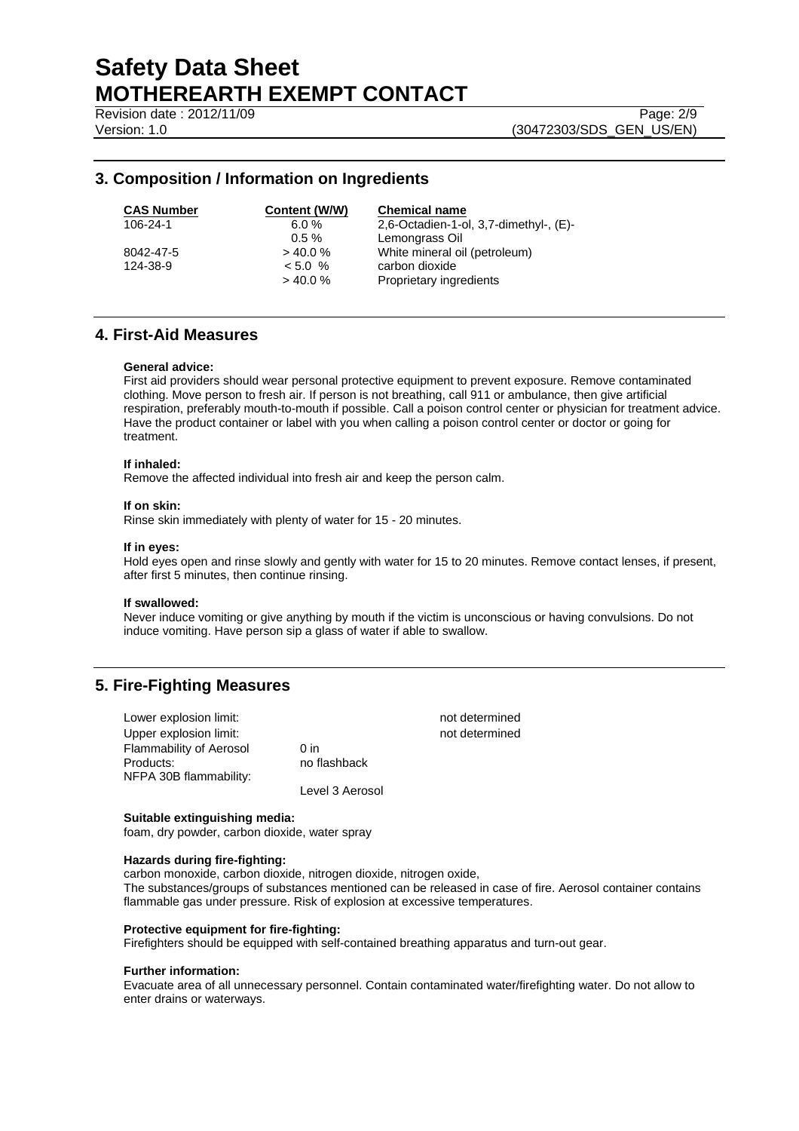Revision date : 2012/11/09 Page: 2/9

Version: 1.0 (30472303/SDS\_GEN\_US/EN)

### **3. Composition / Information on Ingredients**

| <b>CAS Numbe</b> |
|------------------|
| 106-24-1         |
|                  |
| 8042-47-5        |
| 124-38-9         |
|                  |

**Content (W/W) Chemical name** 6.0 %  $2,6$ -Octadien-1-ol, 3,7-dimethyl-, (E)- 0.5 % Lemongrass Oil  $> 40.0 %$  White mineral oil (petroleum) 124-38-9 < 5.0 % carbon dioxide > 40.0 % Proprietary ingredients

### **4. First-Aid Measures**

### **General advice:**

First aid providers should wear personal protective equipment to prevent exposure. Remove contaminated clothing. Move person to fresh air. If person is not breathing, call 911 or ambulance, then give artificial respiration, preferably mouth-to-mouth if possible. Call a poison control center or physician for treatment advice. Have the product container or label with you when calling a poison control center or doctor or going for treatment.

### **If inhaled:**

Remove the affected individual into fresh air and keep the person calm.

### **If on skin:**

Rinse skin immediately with plenty of water for 15 - 20 minutes.

### **If in eyes:**

Hold eyes open and rinse slowly and gently with water for 15 to 20 minutes. Remove contact lenses, if present, after first 5 minutes, then continue rinsing.

#### **If swallowed:**

Never induce vomiting or give anything by mouth if the victim is unconscious or having convulsions. Do not induce vomiting. Have person sip a glass of water if able to swallow.

### **5. Fire-Fighting Measures**

| Lower explosion limit:         |                 | not determined |
|--------------------------------|-----------------|----------------|
| Upper explosion limit:         |                 | not determined |
| <b>Flammability of Aerosol</b> | 0 <sub>in</sub> |                |
| Products:                      | no flashback    |                |
| NFPA 30B flammability:         |                 |                |
|                                | Level 3 Aerosol |                |

### **Suitable extinguishing media:**

foam, dry powder, carbon dioxide, water spray

### **Hazards during fire-fighting:**

carbon monoxide, carbon dioxide, nitrogen dioxide, nitrogen oxide, The substances/groups of substances mentioned can be released in case of fire. Aerosol container contains flammable gas under pressure. Risk of explosion at excessive temperatures.

### **Protective equipment for fire-fighting:**

Firefighters should be equipped with self-contained breathing apparatus and turn-out gear.

#### **Further information:**

Evacuate area of all unnecessary personnel. Contain contaminated water/firefighting water. Do not allow to enter drains or waterways.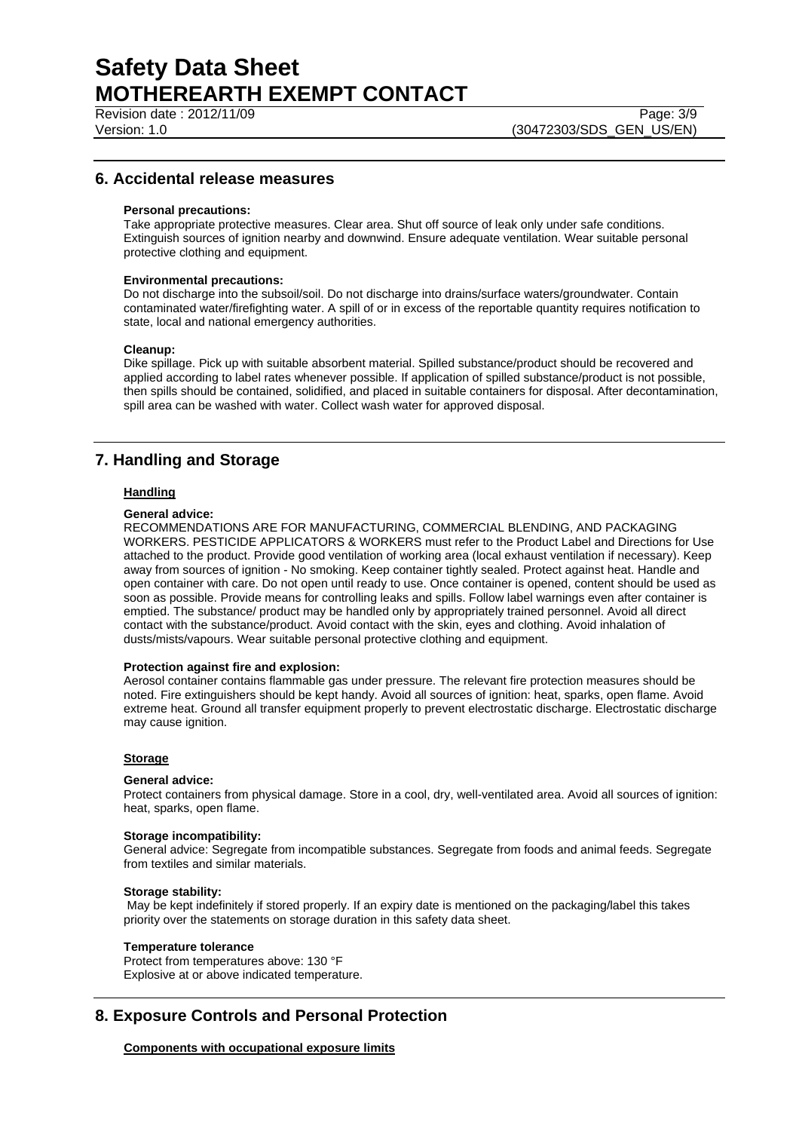Revision date : 2012/11/09 Page: 3/9

Version: 1.0 (30472303/SDS\_GEN\_US/EN)

### **6. Accidental release measures**

### **Personal precautions:**

Take appropriate protective measures. Clear area. Shut off source of leak only under safe conditions. Extinguish sources of ignition nearby and downwind. Ensure adequate ventilation. Wear suitable personal protective clothing and equipment.

### **Environmental precautions:**

Do not discharge into the subsoil/soil. Do not discharge into drains/surface waters/groundwater. Contain contaminated water/firefighting water. A spill of or in excess of the reportable quantity requires notification to state, local and national emergency authorities.

#### **Cleanup:**

Dike spillage. Pick up with suitable absorbent material. Spilled substance/product should be recovered and applied according to label rates whenever possible. If application of spilled substance/product is not possible, then spills should be contained, solidified, and placed in suitable containers for disposal. After decontamination, spill area can be washed with water. Collect wash water for approved disposal.

### **7. Handling and Storage**

### **Handling**

### **General advice:**

RECOMMENDATIONS ARE FOR MANUFACTURING, COMMERCIAL BLENDING, AND PACKAGING WORKERS. PESTICIDE APPLICATORS & WORKERS must refer to the Product Label and Directions for Use attached to the product. Provide good ventilation of working area (local exhaust ventilation if necessary). Keep away from sources of ignition - No smoking. Keep container tightly sealed. Protect against heat. Handle and open container with care. Do not open until ready to use. Once container is opened, content should be used as soon as possible. Provide means for controlling leaks and spills. Follow label warnings even after container is emptied. The substance/ product may be handled only by appropriately trained personnel. Avoid all direct contact with the substance/product. Avoid contact with the skin, eyes and clothing. Avoid inhalation of dusts/mists/vapours. Wear suitable personal protective clothing and equipment.

#### **Protection against fire and explosion:**

Aerosol container contains flammable gas under pressure. The relevant fire protection measures should be noted. Fire extinguishers should be kept handy. Avoid all sources of ignition: heat, sparks, open flame. Avoid extreme heat. Ground all transfer equipment properly to prevent electrostatic discharge. Electrostatic discharge may cause ignition.

### **Storage**

#### **General advice:**

Protect containers from physical damage. Store in a cool, dry, well-ventilated area. Avoid all sources of ignition: heat, sparks, open flame.

#### **Storage incompatibility:**

General advice: Segregate from incompatible substances. Segregate from foods and animal feeds. Segregate from textiles and similar materials.

#### **Storage stability:**

 May be kept indefinitely if stored properly. If an expiry date is mentioned on the packaging/label this takes priority over the statements on storage duration in this safety data sheet.

#### **Temperature tolerance**

Protect from temperatures above: 130 °F Explosive at or above indicated temperature.

### **8. Exposure Controls and Personal Protection**

### **Components with occupational exposure limits**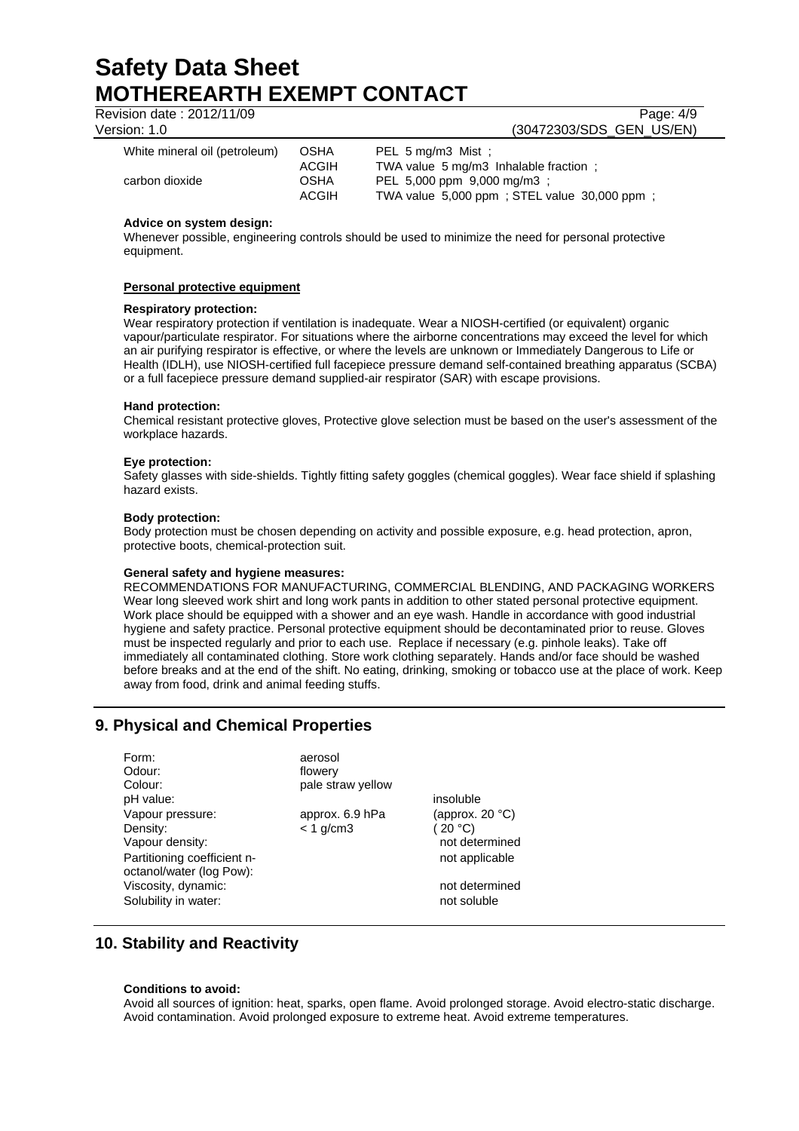Revision date : 2012/11/09 Page: 4/9

## Version: 1.0 (30472303/SDS\_GEN\_US/EN)

| White mineral oil (petroleum) | OSHA                                        | PEL $5 \text{ mg/m}$ 3 Mist ;                                                                                       |
|-------------------------------|---------------------------------------------|---------------------------------------------------------------------------------------------------------------------|
| carbon dioxide                | <b>ACGIH</b><br><b>OSHA</b><br><b>ACGIH</b> | TWA value 5 mg/m3 Inhalable fraction:<br>PEL 5,000 ppm 9,000 mg/m3 :<br>TWA value 5,000 ppm; STEL value 30,000 ppm; |

### **Advice on system design:**

Whenever possible, engineering controls should be used to minimize the need for personal protective equipment.

### **Personal protective equipment**

### **Respiratory protection:**

Wear respiratory protection if ventilation is inadequate. Wear a NIOSH-certified (or equivalent) organic vapour/particulate respirator. For situations where the airborne concentrations may exceed the level for which an air purifying respirator is effective, or where the levels are unknown or Immediately Dangerous to Life or Health (IDLH), use NIOSH-certified full facepiece pressure demand self-contained breathing apparatus (SCBA) or a full facepiece pressure demand supplied-air respirator (SAR) with escape provisions.

### **Hand protection:**

Chemical resistant protective gloves, Protective glove selection must be based on the user's assessment of the workplace hazards.

### **Eye protection:**

Safety glasses with side-shields. Tightly fitting safety goggles (chemical goggles). Wear face shield if splashing hazard exists.

### **Body protection:**

Body protection must be chosen depending on activity and possible exposure, e.g. head protection, apron, protective boots, chemical-protection suit.

### **General safety and hygiene measures:**

RECOMMENDATIONS FOR MANUFACTURING, COMMERCIAL BLENDING, AND PACKAGING WORKERS Wear long sleeved work shirt and long work pants in addition to other stated personal protective equipment. Work place should be equipped with a shower and an eye wash. Handle in accordance with good industrial hygiene and safety practice. Personal protective equipment should be decontaminated prior to reuse. Gloves must be inspected regularly and prior to each use. Replace if necessary (e.g. pinhole leaks). Take off immediately all contaminated clothing. Store work clothing separately. Hands and/or face should be washed before breaks and at the end of the shift. No eating, drinking, smoking or tobacco use at the place of work. Keep away from food, drink and animal feeding stuffs.

### **9. Physical and Chemical Properties**

| Form:<br>Odour:<br>Colour:<br>pH value:                                                                    | aerosol<br>flowery<br>pale straw yellow | insoluble                                                         |
|------------------------------------------------------------------------------------------------------------|-----------------------------------------|-------------------------------------------------------------------|
| Vapour pressure:<br>Density:<br>Vapour density:<br>Partitioning coefficient n-<br>octanol/water (log Pow): | approx. 6.9 hPa<br>$< 1$ g/cm3          | (approx. 20 $°C$ )<br>(20 °C)<br>not determined<br>not applicable |
| Viscosity, dynamic:<br>Solubility in water:                                                                |                                         | not determined<br>not soluble                                     |

### **10. Stability and Reactivity**

### **Conditions to avoid:**

Avoid all sources of ignition: heat, sparks, open flame. Avoid prolonged storage. Avoid electro-static discharge. Avoid contamination. Avoid prolonged exposure to extreme heat. Avoid extreme temperatures.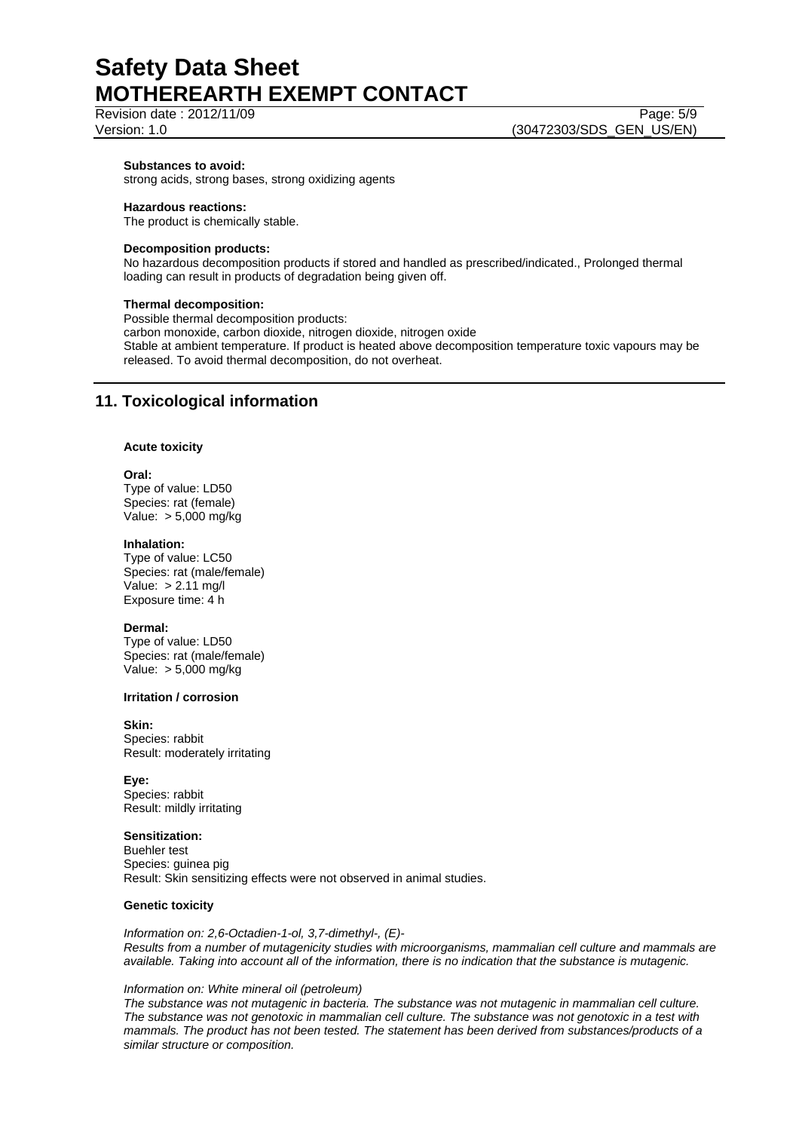## Revision date : 2012/11/09 Page: 5/9

Version: 1.0 (30472303/SDS\_GEN\_US/EN)

### **Substances to avoid:**

strong acids, strong bases, strong oxidizing agents

### **Hazardous reactions:**

The product is chemically stable.

### **Decomposition products:**

No hazardous decomposition products if stored and handled as prescribed/indicated., Prolonged thermal loading can result in products of degradation being given off.

### **Thermal decomposition:**

Possible thermal decomposition products:

carbon monoxide, carbon dioxide, nitrogen dioxide, nitrogen oxide Stable at ambient temperature. If product is heated above decomposition temperature toxic vapours may be released. To avoid thermal decomposition, do not overheat.

### **11. Toxicological information**

### **Acute toxicity**

### **Oral:**

Type of value: LD50 Species: rat (female) Value: > 5,000 mg/kg

#### **Inhalation:**

Type of value: LC50 Species: rat (male/female) Value: > 2.11 mg/l Exposure time: 4 h

### **Dermal:**

Type of value: LD50 Species: rat (male/female) Value: > 5,000 mg/kg

### **Irritation / corrosion**

**Skin:**  Species: rabbit Result: moderately irritating

### **Eye:**

Species: rabbit Result: mildly irritating

### **Sensitization:**

Buehler test Species: guinea pig Result: Skin sensitizing effects were not observed in animal studies.

### **Genetic toxicity**

*Information on: 2,6-Octadien-1-ol, 3,7-dimethyl-, (E)- Results from a number of mutagenicity studies with microorganisms, mammalian cell culture and mammals are available. Taking into account all of the information, there is no indication that the substance is mutagenic.* 

### *Information on: White mineral oil (petroleum)*

*The substance was not mutagenic in bacteria. The substance was not mutagenic in mammalian cell culture. The substance was not genotoxic in mammalian cell culture. The substance was not genotoxic in a test with mammals. The product has not been tested. The statement has been derived from substances/products of a similar structure or composition.*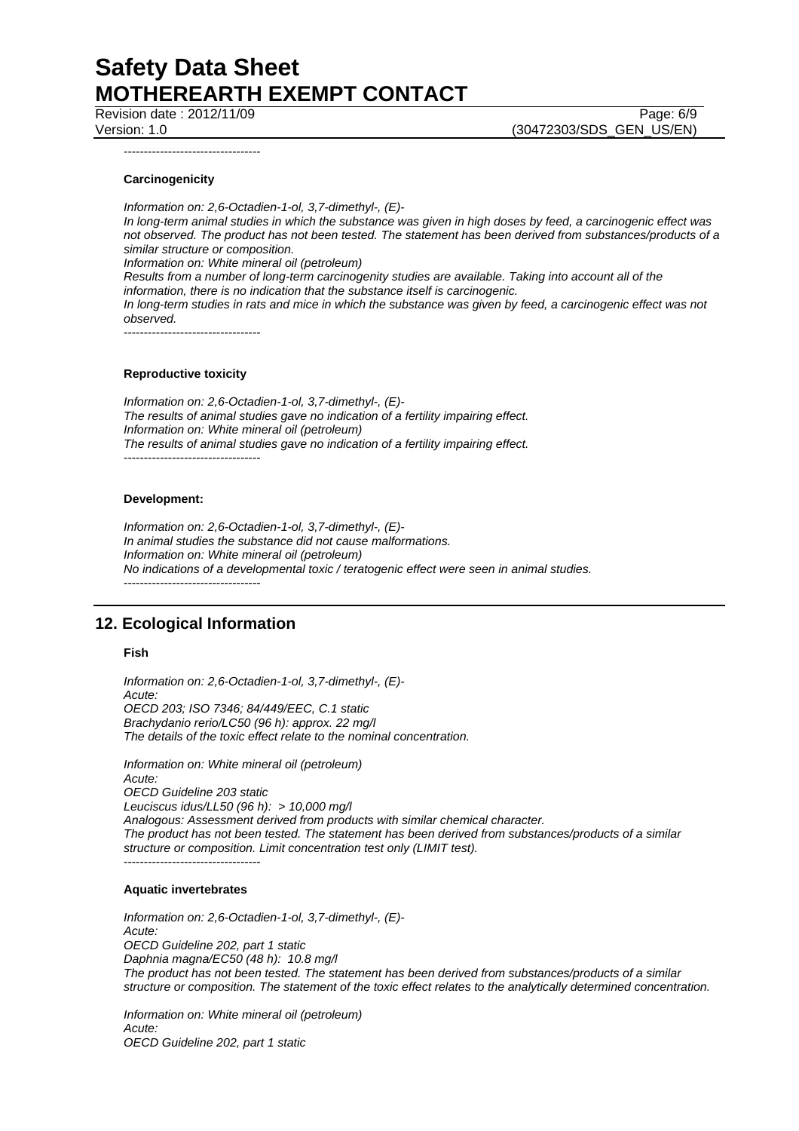Revision date : 2012/11/09 Page: 6/9

Version: 1.0 (30472303/SDS\_GEN\_US/EN)

----------------------------------

### **Carcinogenicity**

*Information on: 2,6-Octadien-1-ol, 3,7-dimethyl-, (E)- In long-term animal studies in which the substance was given in high doses by feed, a carcinogenic effect was not observed. The product has not been tested. The statement has been derived from substances/products of a similar structure or composition. Information on: White mineral oil (petroleum) Results from a number of long-term carcinogenity studies are available. Taking into account all of the information, there is no indication that the substance itself is carcinogenic. In long-term studies in rats and mice in which the substance was given by feed, a carcinogenic effect was not observed.* 

----------------------------------

### **Reproductive toxicity**

*Information on: 2,6-Octadien-1-ol, 3,7-dimethyl-, (E)- The results of animal studies gave no indication of a fertility impairing effect. Information on: White mineral oil (petroleum) The results of animal studies gave no indication of a fertility impairing effect.*  ----------------------------------

#### **Development:**

*Information on: 2,6-Octadien-1-ol, 3,7-dimethyl-, (E)- In animal studies the substance did not cause malformations. Information on: White mineral oil (petroleum) No indications of a developmental toxic / teratogenic effect were seen in animal studies.*  ----------------------------------

### **12. Ecological Information**

### **Fish**

*Information on: 2,6-Octadien-1-ol, 3,7-dimethyl-, (E)- Acute: OECD 203; ISO 7346; 84/449/EEC, C.1 static Brachydanio rerio/LC50 (96 h): approx. 22 mg/l The details of the toxic effect relate to the nominal concentration.* 

*Information on: White mineral oil (petroleum) Acute: OECD Guideline 203 static Leuciscus idus/LL50 (96 h): > 10,000 mg/l Analogous: Assessment derived from products with similar chemical character. The product has not been tested. The statement has been derived from substances/products of a similar structure or composition. Limit concentration test only (LIMIT test).*  ----------------------------------

#### **Aquatic invertebrates**

*Information on: 2,6-Octadien-1-ol, 3,7-dimethyl-, (E)- Acute: OECD Guideline 202, part 1 static Daphnia magna/EC50 (48 h): 10.8 mg/l The product has not been tested. The statement has been derived from substances/products of a similar structure or composition. The statement of the toxic effect relates to the analytically determined concentration.* 

*Information on: White mineral oil (petroleum) Acute: OECD Guideline 202, part 1 static*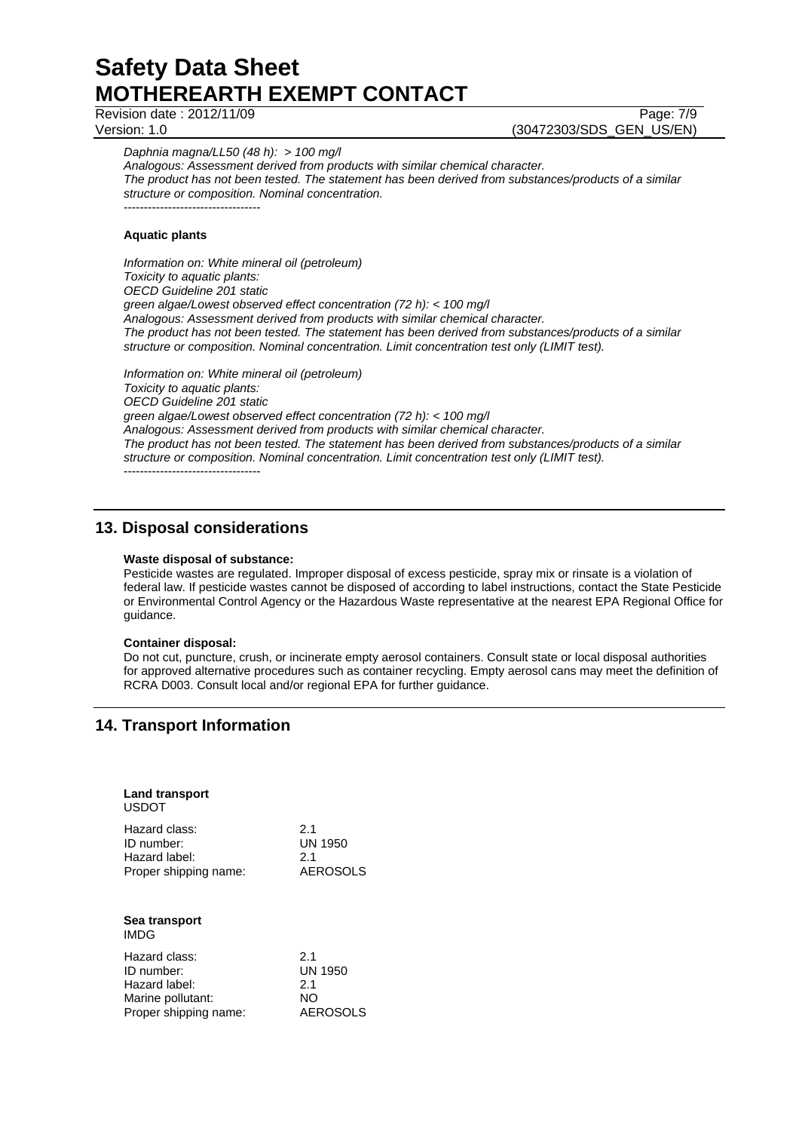Revision date : 2012/11/09 Page: 7/9

Version: 1.0 (30472303/SDS\_GEN\_US/EN)

*Daphnia magna/LL50 (48 h): > 100 mg/l* 

*Analogous: Assessment derived from products with similar chemical character. The product has not been tested. The statement has been derived from substances/products of a similar structure or composition. Nominal concentration.*  ----------------------------------

### **Aquatic plants**

*Information on: White mineral oil (petroleum) Toxicity to aquatic plants: OECD Guideline 201 static green algae/Lowest observed effect concentration (72 h): < 100 mg/l Analogous: Assessment derived from products with similar chemical character. The product has not been tested. The statement has been derived from substances/products of a similar structure or composition. Nominal concentration. Limit concentration test only (LIMIT test).* 

*Information on: White mineral oil (petroleum) Toxicity to aquatic plants: OECD Guideline 201 static green algae/Lowest observed effect concentration (72 h): < 100 mg/l Analogous: Assessment derived from products with similar chemical character. The product has not been tested. The statement has been derived from substances/products of a similar structure or composition. Nominal concentration. Limit concentration test only (LIMIT test).*  ----------------------------------

### **13. Disposal considerations**

### **Waste disposal of substance:**

Pesticide wastes are regulated. Improper disposal of excess pesticide, spray mix or rinsate is a violation of federal law. If pesticide wastes cannot be disposed of according to label instructions, contact the State Pesticide or Environmental Control Agency or the Hazardous Waste representative at the nearest EPA Regional Office for guidance.

### **Container disposal:**

Do not cut, puncture, crush, or incinerate empty aerosol containers. Consult state or local disposal authorities for approved alternative procedures such as container recycling. Empty aerosol cans may meet the definition of RCRA D003. Consult local and/or regional EPA for further guidance.

### **14. Transport Information**

| <b>Land transport</b><br>USDOT |                |
|--------------------------------|----------------|
| Hazard class:                  | 2.1            |
| ID number:                     | UN 1950        |
| Hazard label:                  | 2.1            |
| Proper shipping name:          | AEROSOLS       |
| Sea transport<br>IMDG          |                |
| Hazard class:                  | 2.1            |
| ID number:                     | <b>UN 1950</b> |
| Hazard label:                  | 2.1            |
| Marine pollutant:              | NΟ             |
| Proper shipping name:          | AEROSOLS       |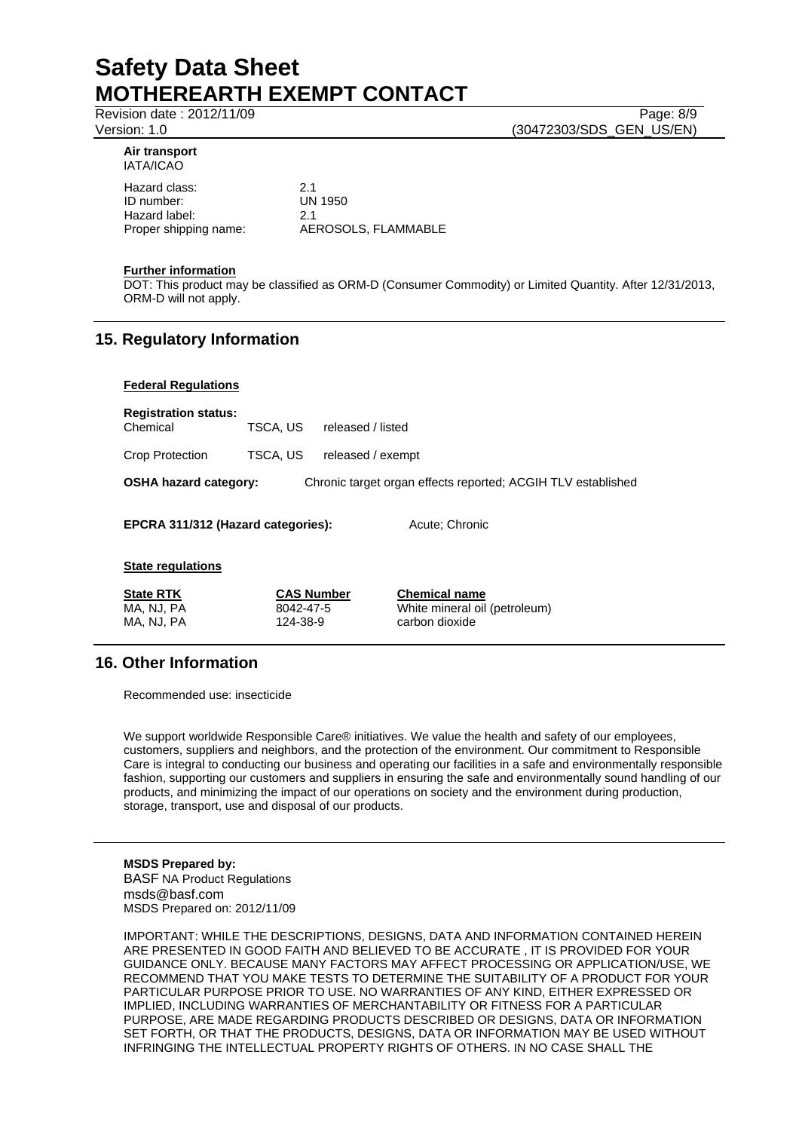Revision date : 2012/11/09 Page: 8/9

Version: 1.0 (30472303/SDS\_GEN\_US/EN)

#### **Air transport**  IATA/ICAO

Hazard class: 2.1<br>
ID number: COMENTY 1950 ID number: Hazard label: 2.1

Proper shipping name: AEROSOLS, FLAMMABLE

### **Further information**

DOT: This product may be classified as ORM-D (Consumer Commodity) or Limited Quantity. After 12/31/2013, ORM-D will not apply.

### **15. Regulatory Information**

### **Federal Regulations**

| <b>Registration status:</b><br>Chemical | TSCA, US | released / listed                                            |  |
|-----------------------------------------|----------|--------------------------------------------------------------|--|
| <b>Crop Protection</b>                  | TSCA, US | released / exempt                                            |  |
| <b>OSHA hazard category:</b>            |          | Chronic target organ effects reported; ACGIH TLV established |  |
| EPCRA 311/312 (Hazard categories):      |          | Acute: Chronic                                               |  |
| <b>State regulations</b>                |          |                                                              |  |

| <b>State RTK</b> | <b>CAS Number</b> | <b>Chemical name</b>          |
|------------------|-------------------|-------------------------------|
| MA, NJ, PA       | 8042-47-5         | White mineral oil (petroleum) |
| MA. NJ. PA       | 124-38-9          | carbon dioxide                |

### **16. Other Information**

Recommended use: insecticide

We support worldwide Responsible Care® initiatives. We value the health and safety of our employees, customers, suppliers and neighbors, and the protection of the environment. Our commitment to Responsible Care is integral to conducting our business and operating our facilities in a safe and environmentally responsible fashion, supporting our customers and suppliers in ensuring the safe and environmentally sound handling of our products, and minimizing the impact of our operations on society and the environment during production, storage, transport, use and disposal of our products.

**MSDS Prepared by:**  BASF NA Product Regulations msds@basf.com MSDS Prepared on: 2012/11/09

IMPORTANT: WHILE THE DESCRIPTIONS, DESIGNS, DATA AND INFORMATION CONTAINED HEREIN ARE PRESENTED IN GOOD FAITH AND BELIEVED TO BE ACCURATE , IT IS PROVIDED FOR YOUR GUIDANCE ONLY. BECAUSE MANY FACTORS MAY AFFECT PROCESSING OR APPLICATION/USE, WE RECOMMEND THAT YOU MAKE TESTS TO DETERMINE THE SUITABILITY OF A PRODUCT FOR YOUR PARTICULAR PURPOSE PRIOR TO USE. NO WARRANTIES OF ANY KIND, EITHER EXPRESSED OR IMPLIED, INCLUDING WARRANTIES OF MERCHANTABILITY OR FITNESS FOR A PARTICULAR PURPOSE, ARE MADE REGARDING PRODUCTS DESCRIBED OR DESIGNS, DATA OR INFORMATION SET FORTH, OR THAT THE PRODUCTS, DESIGNS, DATA OR INFORMATION MAY BE USED WITHOUT INFRINGING THE INTELLECTUAL PROPERTY RIGHTS OF OTHERS. IN NO CASE SHALL THE